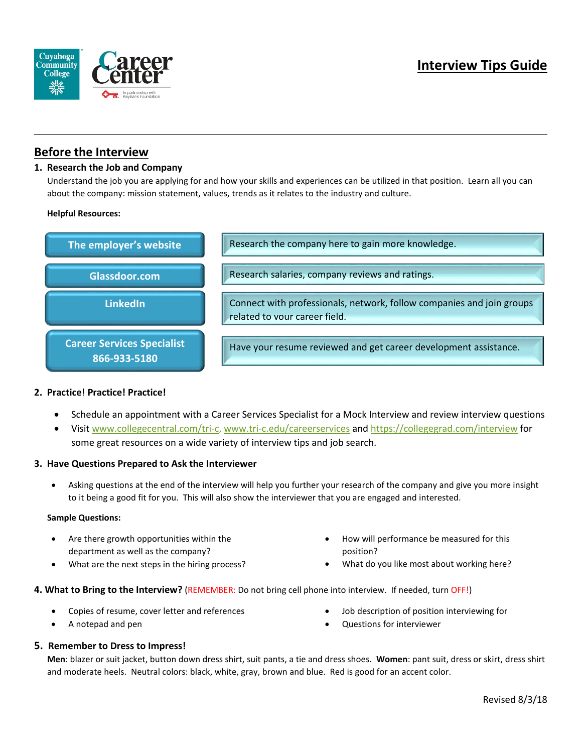

# **Before the Interview**

### **1. Research the Job and Company**

 Understand the job you are applying for and how your skills and experiences can be utilized in that position. Learn all you can about the company: mission statement, values, trends as it relates to the industry and culture.

#### **Helpful Resources:**



## **2. Practice**! **Practice! Practice!**

- Schedule an appointment with a Career Services Specialist for a Mock Interview and review interview questions
- Visit [www.collegecentral.com/tri-c,](http://www.collegecentral.com/tri-c) [www.tri-c.edu/careerservices](http://www.tri-c.edu/careerservices) and<https://collegegrad.com/interview> for some great resources on a wide variety of interview tips and job search.

#### **3. Have Questions Prepared to Ask the Interviewer**

• Asking questions at the end of the interview will help you further your research of the company and give you more insight to it being a good fit for you. This will also show the interviewer that you are engaged and interested.

#### **Sample Questions:**

- Are there growth opportunities within the department as well as the company?
- What are the next steps in the hiring process?
- How will performance be measured for this position?
- What do you like most about working here?

#### **4. What to Bring to the Interview?** (REMEMBER: Do not bring cell phone into interview. If needed, turn OFF!)

- Copies of resume, cover letter and references
- A notepad and pen
- Job description of position interviewing for
- Questions for interviewer

#### **5. Remember to Dress to Impress!**

 **Men**: blazer or suit jacket, button down dress shirt, suit pants, a tie and dress shoes. **Women**: pant suit, dress or skirt, dress shirt and moderate heels. Neutral colors: black, white, gray, brown and blue. Red is good for an accent color.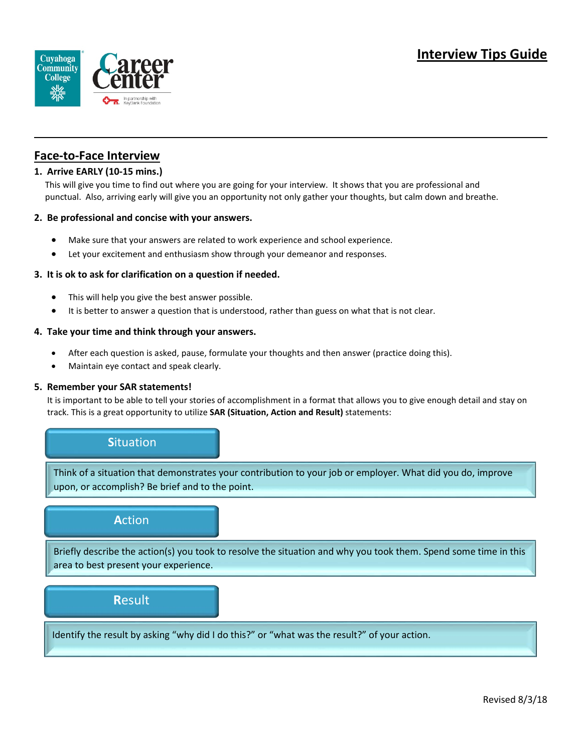

# **Face-to-Face Interview**

## **1. Arrive EARLY (10-15 mins.)**

 This will give you time to find out where you are going for your interview. It shows that you are professional and punctual. Also, arriving early will give you an opportunity not only gather your thoughts, but calm down and breathe.

#### **2. Be professional and concise with your answers.**

- Make sure that your answers are related to work experience and school experience.
- Let your excitement and enthusiasm show through your demeanor and responses.

#### **3. It is ok to ask for clarification on a question if needed.**

- This will help you give the best answer possible.
- It is better to answer a question that is understood, rather than guess on what that is not clear.

#### **4. Take your time and think through your answers.**

- After each question is asked, pause, formulate your thoughts and then answer (practice doing this).
- Maintain eye contact and speak clearly.

#### **5. Remember your SAR statements!**

 It is important to be able to tell your stories of accomplishment in a format that allows you to give enough detail and stay on track. This is a great opportunity to utilize **SAR (Situation, Action and Result)** statements:

## **S**ituation

Think of a situation that demonstrates your contribution to your job or employer. What did you do, improve upon, or accomplish? Be brief and to the point.

## **A**ction

Briefly describe the action(s) you took to resolve the situation and why you took them. Spend some time in this area to best present your experience.

## **R**esult

Identify the result by asking "why did I do this?" or "what was the result?" of your action.